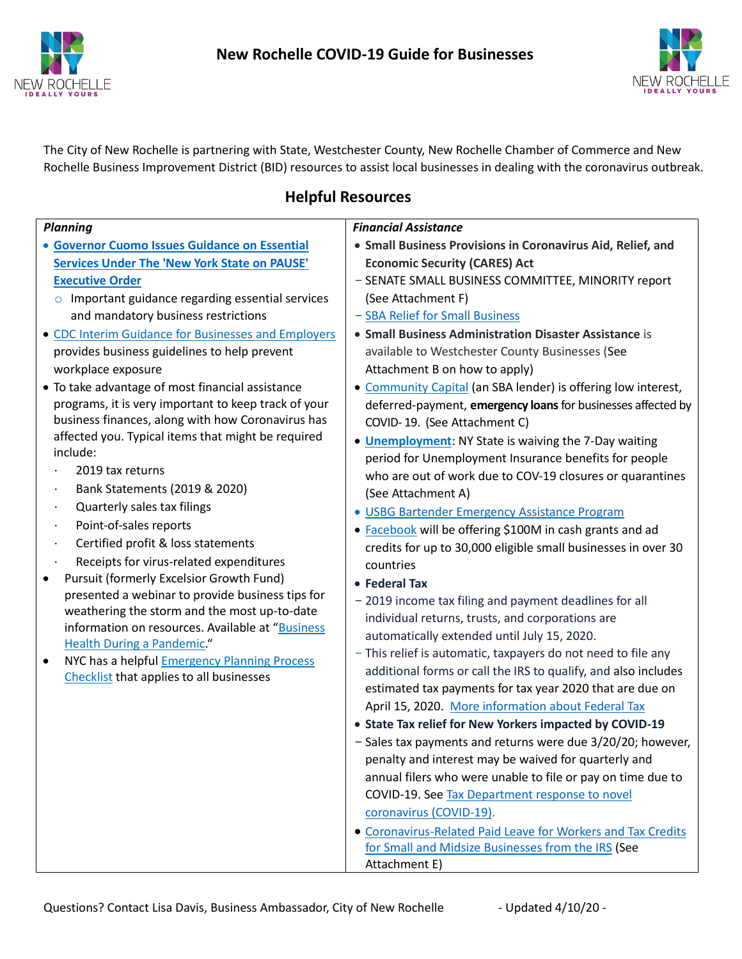



The City of New Rochelle is partnering with State, Westchester County, New Rochelle Chamber of Commerce and New Rochelle Business Improvement District (BID) resources to assist local businesses in dealing with the coronavirus outbreak.

# **Helpful Resources**

| <b>Planning</b>                                                  | <b>Financial Assistance</b>                                    |
|------------------------------------------------------------------|----------------------------------------------------------------|
| <b>• Governor Cuomo Issues Guidance on Essential</b>             | • Small Business Provisions in Coronavirus Aid, Relief, and    |
| <b>Services Under The 'New York State on PAUSE'</b>              | <b>Economic Security (CARES) Act</b>                           |
| <b>Executive Order</b>                                           | - SENATE SMALL BUSINESS COMMITTEE, MINORITY report             |
| o Important guidance regarding essential services                | (See Attachment F)                                             |
| and mandatory business restrictions                              | - SBA Relief for Small Business                                |
| • CDC Interim Guidance for Businesses and Employers              | • Small Business Administration Disaster Assistance is         |
| provides business guidelines to help prevent                     | available to Westchester County Businesses (See                |
| workplace exposure                                               | Attachment B on how to apply)                                  |
| • To take advantage of most financial assistance                 | • Community Capital (an SBA lender) is offering low interest,  |
| programs, it is very important to keep track of your             | deferred-payment, emergency loans for businesses affected by   |
| business finances, along with how Coronavirus has                | COVID-19. (See Attachment C)                                   |
| affected you. Typical items that might be required               | • <b>Unemployment:</b> NY State is waiving the 7-Day waiting   |
| include:                                                         | period for Unemployment Insurance benefits for people          |
| 2019 tax returns                                                 | who are out of work due to COV-19 closures or quarantines      |
| Bank Statements (2019 & 2020)<br>$\bullet$                       | (See Attachment A)                                             |
| Quarterly sales tax filings<br>$\bullet$                         | · USBG Bartender Emergency Assistance Program                  |
| Point-of-sales reports<br>$\bullet$                              | • Facebook will be offering \$100M in cash grants and ad       |
| Certified profit & loss statements<br>$\bullet$                  | credits for up to 30,000 eligible small businesses in over 30  |
| Receipts for virus-related expenditures                          | countries                                                      |
| Pursuit (formerly Excelsior Growth Fund)<br>$\bullet$            | • Federal Tax                                                  |
| presented a webinar to provide business tips for                 | - 2019 income tax filing and payment deadlines for all         |
| weathering the storm and the most up-to-date                     | individual returns, trusts, and corporations are               |
| information on resources. Available at "Business                 | automatically extended until July 15, 2020.                    |
| <b>Health During a Pandemic."</b>                                | - This relief is automatic, taxpayers do not need to file any  |
| NYC has a helpful <b>Emergency Planning Process</b><br>$\bullet$ | additional forms or call the IRS to qualify, and also includes |
| <b>Checklist</b> that applies to all businesses                  | estimated tax payments for tax year 2020 that are due on       |
|                                                                  | April 15, 2020. More information about Federal Tax             |
|                                                                  | • State Tax relief for New Yorkers impacted by COVID-19        |
|                                                                  | - Sales tax payments and returns were due 3/20/20; however,    |
|                                                                  | penalty and interest may be waived for quarterly and           |
|                                                                  | annual filers who were unable to file or pay on time due to    |
|                                                                  | COVID-19. See Tax Department response to novel                 |
|                                                                  | coronavirus (COVID-19).                                        |
|                                                                  | • Coronavirus-Related Paid Leave for Workers and Tax Credits   |
|                                                                  | for Small and Midsize Businesses from the IRS (See             |
|                                                                  | Attachment E)                                                  |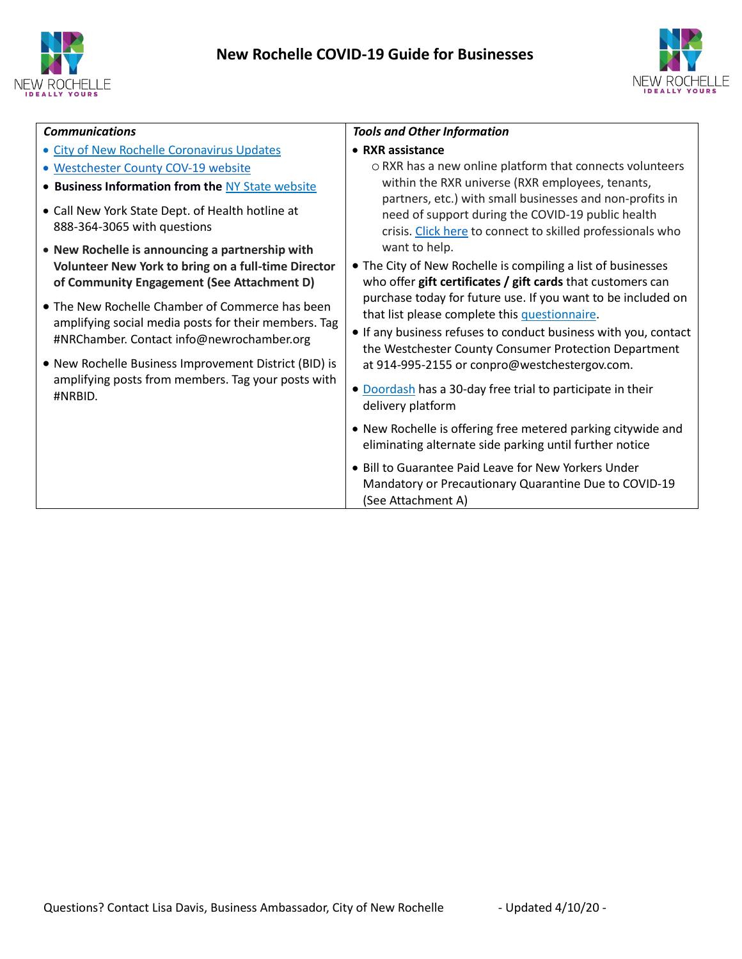

# **New Rochelle COVID-19 Guide for Businesses**



| <b>Communications</b>                                 | <b>Tools and Other Information</b>                                                                           |
|-------------------------------------------------------|--------------------------------------------------------------------------------------------------------------|
| • City of New Rochelle Coronavirus Updates            | • RXR assistance                                                                                             |
| • Westchester County COV-19 website                   | o RXR has a new online platform that connects volunteers                                                     |
| • Business Information from the NY State website      | within the RXR universe (RXR employees, tenants,<br>partners, etc.) with small businesses and non-profits in |
| • Call New York State Dept. of Health hotline at      | need of support during the COVID-19 public health                                                            |
| 888-364-3065 with questions                           | crisis. Click here to connect to skilled professionals who                                                   |
| • New Rochelle is announcing a partnership with       | want to help.                                                                                                |
| Volunteer New York to bring on a full-time Director   | • The City of New Rochelle is compiling a list of businesses                                                 |
| of Community Engagement (See Attachment D)            | who offer gift certificates / gift cards that customers can                                                  |
| • The New Rochelle Chamber of Commerce has been       | purchase today for future use. If you want to be included on                                                 |
| amplifying social media posts for their members. Tag  | that list please complete this questionnaire.                                                                |
| #NRChamber. Contact info@newrochamber.org             | • If any business refuses to conduct business with you, contact                                              |
| • New Rochelle Business Improvement District (BID) is | the Westchester County Consumer Protection Department<br>at 914-995-2155 or conpro@westchestergov.com.       |
| amplifying posts from members. Tag your posts with    |                                                                                                              |
| #NRBID.                                               | • Doordash has a 30-day free trial to participate in their                                                   |
|                                                       | delivery platform                                                                                            |
|                                                       | • New Rochelle is offering free metered parking citywide and                                                 |
|                                                       | eliminating alternate side parking until further notice                                                      |
|                                                       | • Bill to Guarantee Paid Leave for New Yorkers Under                                                         |
|                                                       | Mandatory or Precautionary Quarantine Due to COVID-19                                                        |
|                                                       | (See Attachment A)                                                                                           |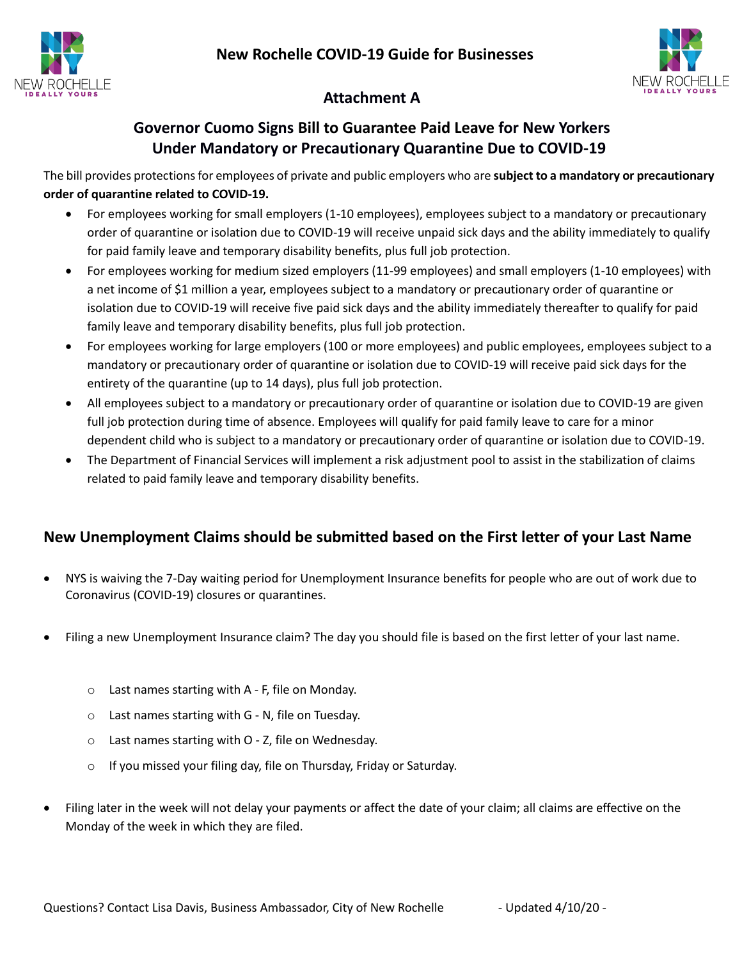



# **Attachment A**

# **Governor Cuomo Signs [Bill to Guarantee Paid Leave](https://nyassembly.gov/leg/?default_fld=&leg_video=&bn=A10153&term=2019&Summary=Y&Memo=Y) for New Yorkers Under Mandatory or Precautionary Quarantine Due to COVID-19**

The bill provides protections for employees of private and public employers who are **subject to a mandatory or precautionary order of quarantine related to COVID-19.**

- For employees working for small employers (1-10 employees), employees subject to a mandatory or precautionary order of quarantine or isolation due to COVID-19 will receive unpaid sick days and the ability immediately to qualify for paid family leave and temporary disability benefits, plus full job protection.
- For employees working for medium sized employers (11-99 employees) and small employers (1-10 employees) with a net income of \$1 million a year, employees subject to a mandatory or precautionary order of quarantine or isolation due to COVID-19 will receive five paid sick days and the ability immediately thereafter to qualify for paid family leave and temporary disability benefits, plus full job protection.
- For employees working for large employers (100 or more employees) and public employees, employees subject to a mandatory or precautionary order of quarantine or isolation due to COVID-19 will receive paid sick days for the entirety of the quarantine (up to 14 days), plus full job protection.
- All employees subject to a mandatory or precautionary order of quarantine or isolation due to COVID-19 are given full job protection during time of absence. Employees will qualify for paid family leave to care for a minor dependent child who is subject to a mandatory or precautionary order of quarantine or isolation due to COVID-19.
- The Department of Financial Services will implement a risk adjustment pool to assist in the stabilization of claims related to paid family leave and temporary disability benefits.

### **New [Unemployment Claims](https://applications.labor.ny.gov/IndividualReg/) should be submitted based on the First letter of your Last Name**

- NYS is waiving the 7-Day waiting period for Unemployment Insurance benefits for people who are out of work due to Coronavirus (COVID-19) closures or quarantines.
- Filing a new Unemployment Insurance claim? The day you should file is based on the first letter of your last name.
	- o Last names starting with A F, file on Monday.
	- o Last names starting with G N, file on Tuesday.
	- o Last names starting with O Z, file on Wednesday.
	- o If you missed your filing day, file on Thursday, Friday or Saturday.
- Filing later in the week will not delay your payments or affect the date of your claim; all claims are effective on the Monday of the week in which they are filed.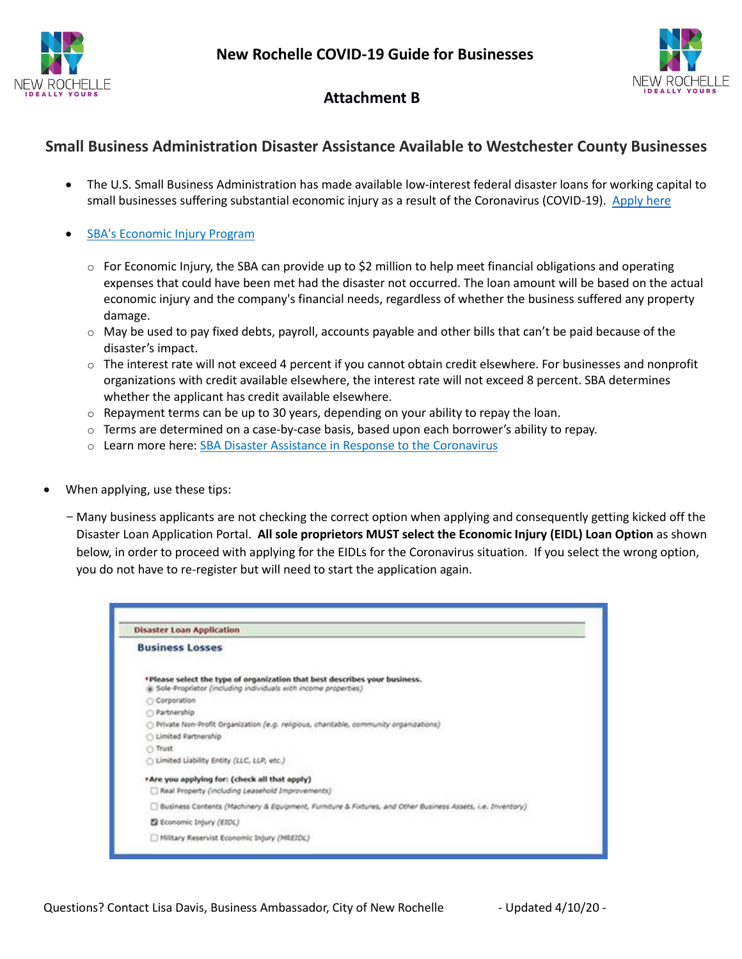



### **Attachment B**

### **Small Business Administration Disaster Assistance Available to Westchester County Businesses**

- The U.S. Small Business Administration has made available low-interest federal disaster loans for working capital to small businesses suffering substantial economic injury as a result of the Coronavirus (COVID-19). [Apply here](https://disasterloan.sba.gov/ela)
- [SBA's Economic Injury Program](https://gcc02.safelinks.protection.outlook.com/?url=https%3A%2F%2Fnpwestchester.org%2FEmailTracker%2FLinkTracker.ashx%3FlinkAndRecipientCode%3DTHD2cHueRK3BOGnIED8MrKi2pouSfxQrA0pxygXPWWvwPZypZUqmGuqoDZZvUbonzbYQoUAogtKOTicvPWZNF0a4%252ftjzAjNuYRCES6B4ZCI%253d&data=02|01|ldavis%40newrochelleny.com|7d06183a9c3f4ca118bb08d7cabc7572|58c9317fe90947109357666cd76be2d6|0|0|637200783087942468&sdata=RWxBYNxFyfz5ughGHzYBL61Yp1CsBMQD3itV2Ckdrak%3D&reserved=0)
	- $\circ$  For Economic Injury, the SBA can provide up to \$2 million to help meet financial obligations and operating expenses that could have been met had the disaster not occurred. The loan amount will be based on the actual economic injury and the company's financial needs, regardless of whether the business suffered any property damage.
	- $\circ$  May be used to pay fixed debts, payroll, accounts payable and other bills that can't be paid because of the disaster's impact.
	- $\circ$  The interest rate will not exceed 4 percent if you cannot obtain credit elsewhere. For businesses and nonprofit organizations with credit available elsewhere, the interest rate will not exceed 8 percent. SBA determines whether the applicant has credit available elsewhere.
	- $\circ$  Repayment terms can be up to 30 years, depending on your ability to repay the loan.
	- $\circ$  Terms are determined on a case-by-case basis, based upon each borrower's ability to repay.
	- o Learn more here: [SBA Disaster Assistance in Response to the Coronavirus](https://gcc02.safelinks.protection.outlook.com/?url=https%3A%2F%2Fnpwestchester.org%2FEmailTracker%2FLinkTracker.ashx%3FlinkAndRecipientCode%3D8FDoq0dXDmy6zxPq2nM7tLba92dVc%252fuV0vw8drDZhLtBdNYe4%252bAHoYec%252fa7M3RzVDHPU2DVRDSgVfr4hglVs6eqEIi1MuPA6Mloq9OvdibE%253d&data=02|01|ldavis%40newrochelleny.com|7d06183a9c3f4ca118bb08d7cabc7572|58c9317fe90947109357666cd76be2d6|0|0|637200783087942468&sdata=43Cf%2FkZP1CoCVjp1707cbPHUb7jAzyPbNRyXJ0WnT1A%3D&reserved=0)
- When applying, use these tips:
	- Many business applicants are not checking the correct option when applying and consequently getting kicked off the Disaster Loan Application Portal. **All sole proprietors MUST select the Economic Injury (EIDL) Loan Option** as shown below, in order to proceed with applying for the EIDLs for the Coronavirus situation. If you select the wrong option, you do not have to re-register but will need to start the application again.

| <b>Disaster Loan Application</b> |                                                                                                                                                |  |  |
|----------------------------------|------------------------------------------------------------------------------------------------------------------------------------------------|--|--|
|                                  | <b>Business Losses</b>                                                                                                                         |  |  |
|                                  | *Please select the type of organization that best describes your business.<br>B Sole-Proprietor (including individuals with income properties) |  |  |
|                                  | C: Corporation                                                                                                                                 |  |  |
|                                  | O Partnership                                                                                                                                  |  |  |
|                                  | Private Non-Profit Organization (e.g. religious, chantable, community organizations)                                                           |  |  |
|                                  | C Limited Partnership                                                                                                                          |  |  |
|                                  | O Trust                                                                                                                                        |  |  |
|                                  | C Limited Liability Entity (LLC, LLP, etc.)                                                                                                    |  |  |
|                                  | *Are you applying for: (check all that apply)                                                                                                  |  |  |
|                                  | Real Property (including Leasehold Improvements)                                                                                               |  |  |
|                                  | □ Business Contents (Machinery & Equipment, Furniture & Fixtures, and Other Business Assets, i.e. Inventory)                                   |  |  |
|                                  | El Economic Injury (EIDL)                                                                                                                      |  |  |
|                                  | Military Reservist Economic Injury (MREIDL)                                                                                                    |  |  |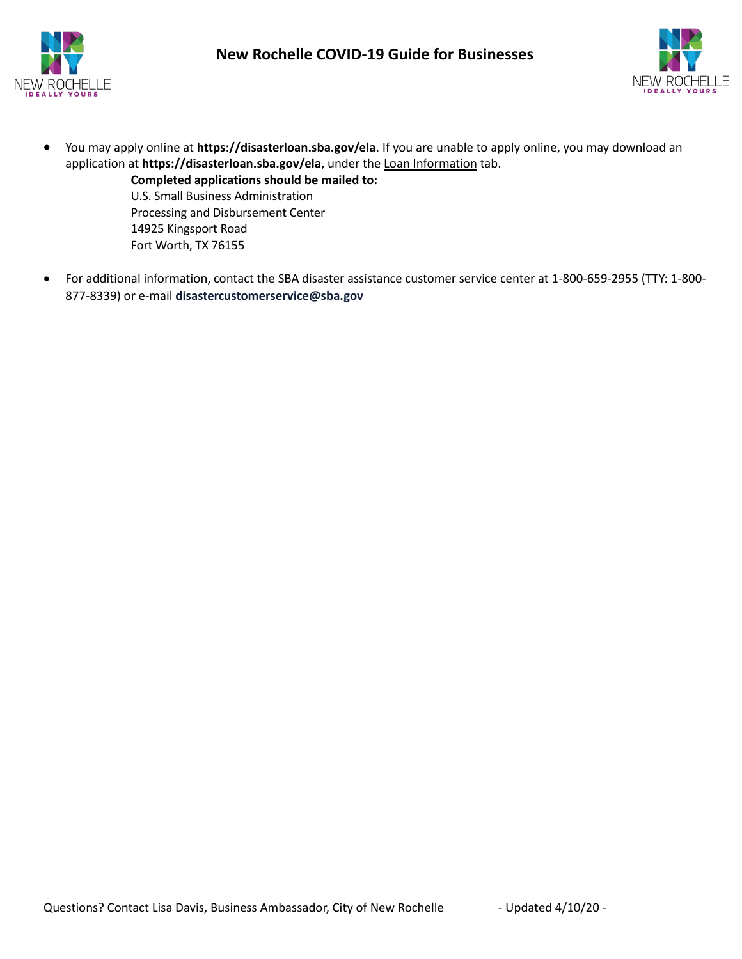# **New Rochelle COVID-19 Guide for Businesses**





• You may apply online at **[https://disasterloan.sba.gov/ela](https://gcc02.safelinks.protection.outlook.com/?url=https%3A%2F%2Fdisasterloan.sba.gov%2Fela&data=02|01|ldavis%40newrochelleny.com|e2407b0b6553469229f808d7cb87d50c|58c9317fe90947109357666cd76be2d6|0|0|637201656586592796&sdata=G8XjW9EpLMipOI1l1kVfjIv3HkUCy%2B3DJWtdWJrNX0M%3D&reserved=0)**. If you are unable to apply online, you may download an application at **[https://disasterloan.sba.gov/ela](https://gcc02.safelinks.protection.outlook.com/?url=https%3A%2F%2Fdisasterloan.sba.gov%2Fela&data=02|01|ldavis%40newrochelleny.com|e2407b0b6553469229f808d7cb87d50c|58c9317fe90947109357666cd76be2d6|0|0|637201656586592796&sdata=G8XjW9EpLMipOI1l1kVfjIv3HkUCy%2B3DJWtdWJrNX0M%3D&reserved=0)**, under the Loan Information tab.

> **Completed applications should be mailed to:** U.S. Small Business Administration Processing and Disbursement Center 14925 Kingsport Road Fort Worth, TX 76155

• For additional information, contact the SBA disaster assistance customer service center at 1-800-659-2955 (TTY: 1-800- 877-8339) or e-mail **[disastercustomerservice@sba.gov](mailto:disastercustomerservice@sba.gov(link%20sends%20e-mail))**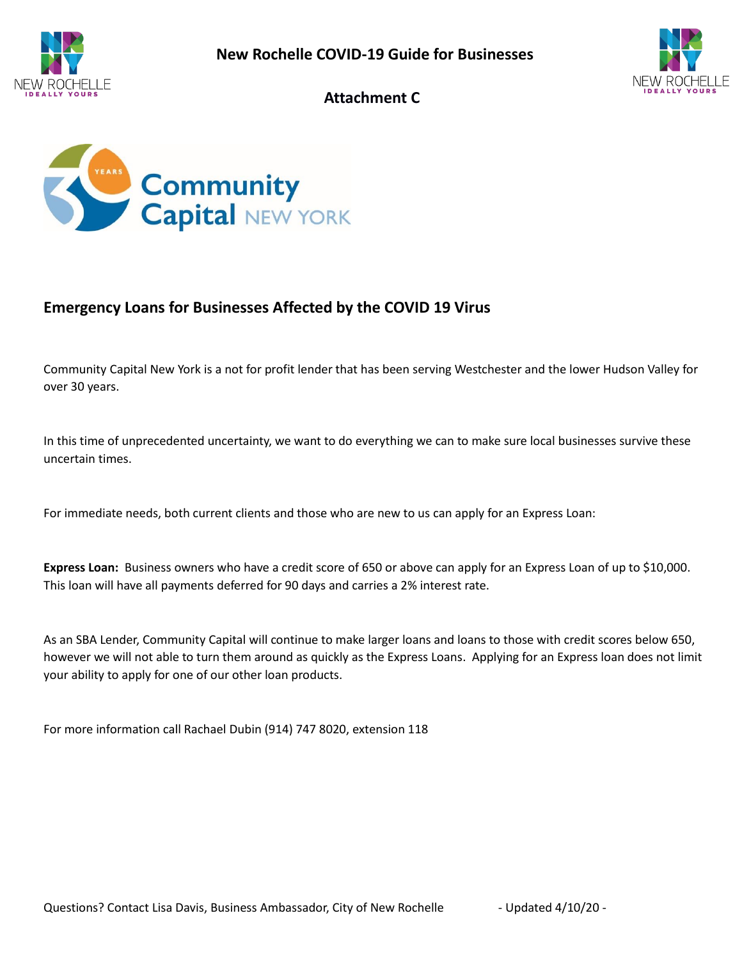



**Attachment C**



### **Emergency Loans for Businesses Affected by the COVID 19 Virus**

Community Capital New York is a not for profit lender that has been serving Westchester and the lower Hudson Valley for over 30 years.

In this time of unprecedented uncertainty, we want to do everything we can to make sure local businesses survive these uncertain times.

For immediate needs, both current clients and those who are new to us can apply for an Express Loan:

**Express Loan:** Business owners who have a credit score of 650 or above can apply for an Express Loan of up to \$10,000. This loan will have all payments deferred for 90 days and carries a 2% interest rate.

As an SBA Lender, Community Capital will continue to make larger loans and loans to those with credit scores below 650, however we will not able to turn them around as quickly as the Express Loans. Applying for an Express loan does not limit your ability to apply for one of our other loan products.

For more information call Rachael Dubin (914) 747 8020, extension 118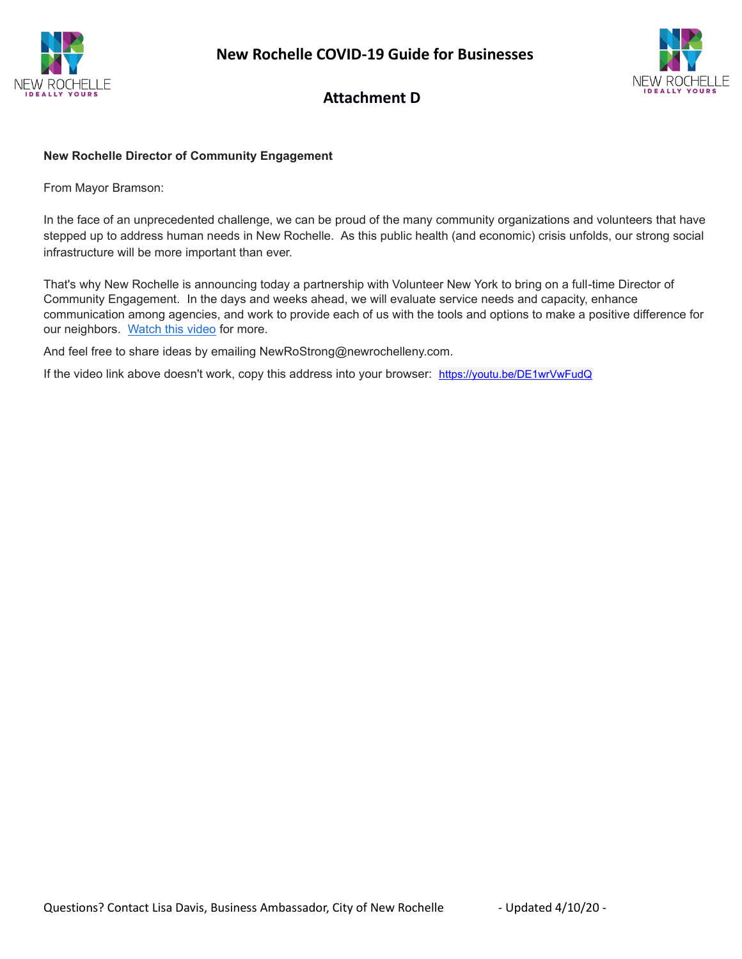



### **Attachment D**

#### **New Rochelle Director of Community Engagement**

From Mayor Bramson:

In the face of an unprecedented challenge, we can be proud of the many community organizations and volunteers that have stepped up to address human needs in New Rochelle. As this public health (and economic) crisis unfolds, our strong social infrastructure will be more important than ever.

That's why New Rochelle is announcing today a partnership with Volunteer New York to bring on a full-time Director of Community Engagement. In the days and weeks ahead, we will evaluate service needs and capacity, enhance communication among agencies, and work to provide each of us with the tools and options to make a positive difference for our neighbors. [Watch this video](https://act.myngp.com/el/zzY48oEsx08QMyJZlyQwM3xVcKjUP7G8pDF3Jwcj8e0=/6verYvv3TQVuKoXejNACD3rQQ1LgquUCFG9FVzq0QXs=) for more.

And feel free to share ideas by emailing NewRoStrong@newrochelleny.com.

If the video link above doesn't work, copy this address into your browser: [https://youtu.be/DE1wrVwFudQ](https://act.myngp.com/el/zzY48oEsx08QMyJZlyQwM3xVcKjUP7G8pDF3Jwcj8e0=/6verYvv3TQVuKoXejNACD3rQQ1LgquUCFG9FVzq0QXs=)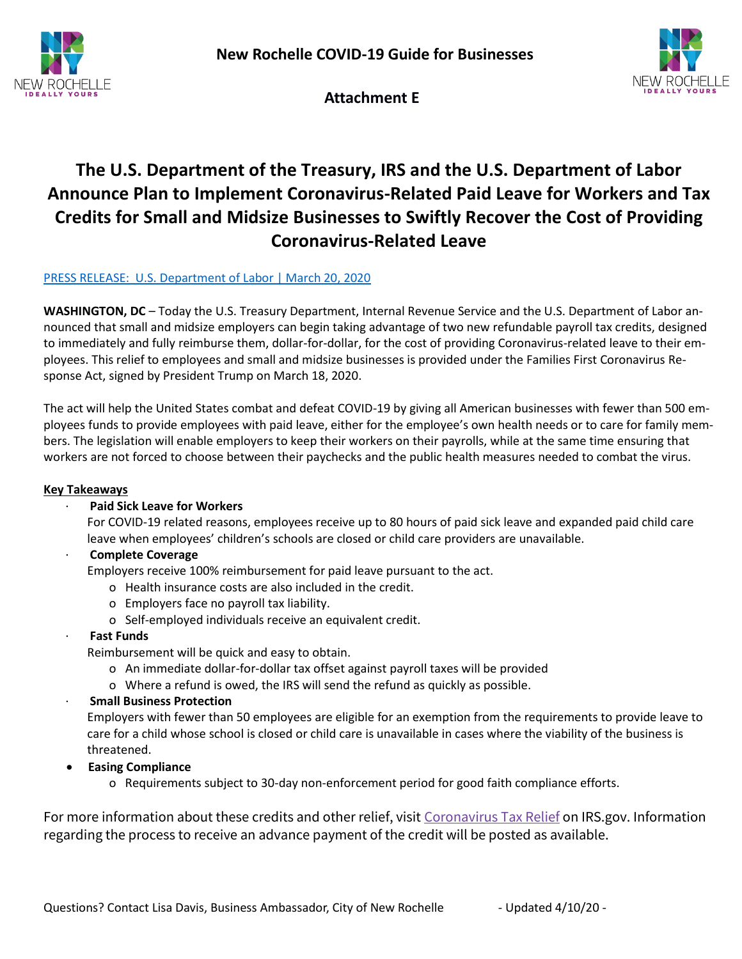

**Attachment E**

# **The U.S. Department of the Treasury, IRS and the U.S. Department of Labor Announce Plan to Implement Coronavirus-Related Paid Leave for Workers and Tax Credits for Small and Midsize Businesses to Swiftly Recover the Cost of Providing Coronavirus-Related Leave**

### [PRESS RELEASE: U.S. Department of Labor | March 20, 2020](https://www.irs.gov/newsroom/treasury-irs-and-labor-announce-plan-to-implement-coronavirus-related-paid-leave-for-workers-and-tax-credits-for-small-and-midsize-businesses-to-swiftly-recover-the-cost-of-providing-coronavirus)

**WASHINGTON, DC** – Today the U.S. Treasury Department, Internal Revenue Service and the U.S. Department of Labor announced that small and midsize employers can begin taking advantage of two new refundable payroll tax credits, designed to immediately and fully reimburse them, dollar-for-dollar, for the cost of providing Coronavirus-related leave to their employees. This relief to employees and small and midsize businesses is provided under the Families First Coronavirus Response Act, signed by President Trump on March 18, 2020.

The act will help the United States combat and defeat COVID-19 by giving all American businesses with fewer than 500 employees funds to provide employees with paid leave, either for the employee's own health needs or to care for family members. The legislation will enable employers to keep their workers on their payrolls, while at the same time ensuring that workers are not forced to choose between their paychecks and the public health measures needed to combat the virus.

#### **Key Takeaways**

### **Paid Sick Leave for Workers**

For COVID-19 related reasons, employees receive up to 80 hours of paid sick leave and expanded paid child care leave when employees' children's schools are closed or child care providers are unavailable.

### · **Complete Coverage**

Employers receive 100% reimbursement for paid leave pursuant to the act.

- o Health insurance costs are also included in the credit.
- o Employers face no payroll tax liability.
- o Self-employed individuals receive an equivalent credit.

### · **Fast Funds**

Reimbursement will be quick and easy to obtain.

- o An immediate dollar-for-dollar tax offset against payroll taxes will be provided
- o Where a refund is owed, the IRS will send the refund as quickly as possible.

### · **Small Business Protection**

Employers with fewer than 50 employees are eligible for an exemption from the requirements to provide leave to care for a child whose school is closed or child care is unavailable in cases where the viability of the business is threatened.

- **Easing Compliance**
	- o Requirements subject to 30-day non-enforcement period for good faith compliance efforts.

For more information about these credits and other relief, visit [Coronavirus Tax Relief](https://www.irs.gov/coronavirus) on IRS.gov. Information regarding the process to receive an advance payment of the credit will be posted as available.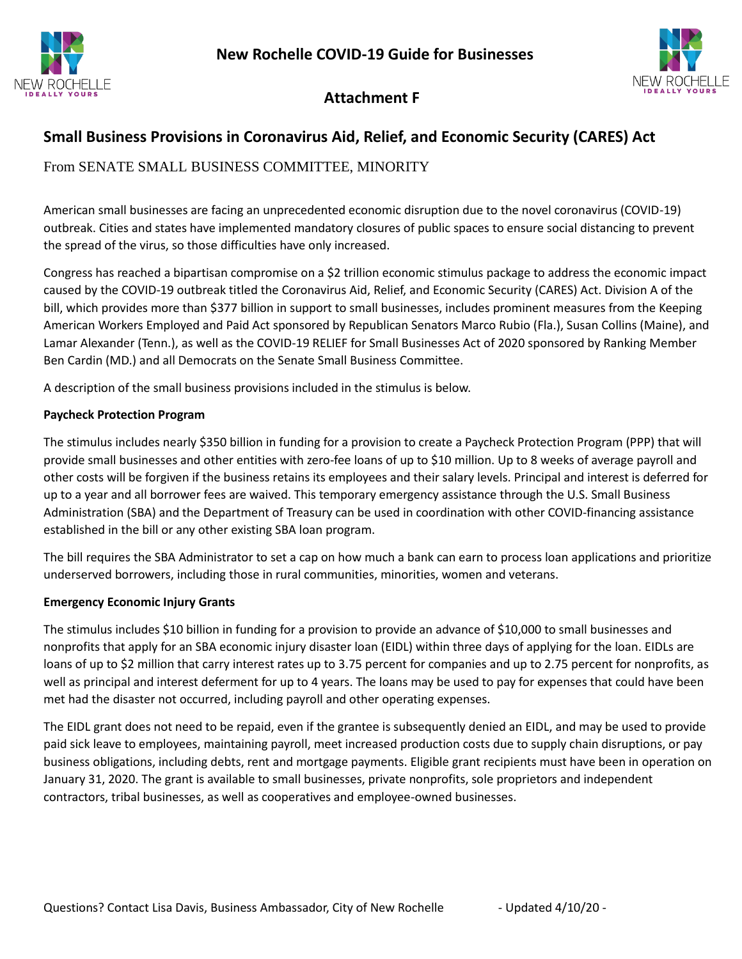



# **Attachment F**

### **Small Business Provisions in Coronavirus Aid, Relief, and Economic Security (CARES) Act**

From SENATE SMALL BUSINESS COMMITTEE, MINORITY

American small businesses are facing an unprecedented economic disruption due to the novel coronavirus (COVID-19) outbreak. Cities and states have implemented mandatory closures of public spaces to ensure social distancing to prevent the spread of the virus, so those difficulties have only increased.

Congress has reached a bipartisan compromise on a \$2 trillion economic stimulus package to address the economic impact caused by the COVID-19 outbreak titled the Coronavirus Aid, Relief, and Economic Security (CARES) Act. Division A of the bill, which provides more than \$377 billion in support to small businesses, includes prominent measures from the Keeping American Workers Employed and Paid Act sponsored by Republican Senators Marco Rubio (Fla.), Susan Collins (Maine), and Lamar Alexander (Tenn.), as well as the COVID-19 RELIEF for Small Businesses Act of 2020 sponsored by Ranking Member Ben Cardin (MD.) and all Democrats on the Senate Small Business Committee.

A description of the small business provisions included in the stimulus is below.

#### **Paycheck Protection Program**

The stimulus includes nearly \$350 billion in funding for a provision to create a Paycheck Protection Program (PPP) that will provide small businesses and other entities with zero-fee loans of up to \$10 million. Up to 8 weeks of average payroll and other costs will be forgiven if the business retains its employees and their salary levels. Principal and interest is deferred for up to a year and all borrower fees are waived. This temporary emergency assistance through the U.S. Small Business Administration (SBA) and the Department of Treasury can be used in coordination with other COVID-financing assistance established in the bill or any other existing SBA loan program.

The bill requires the SBA Administrator to set a cap on how much a bank can earn to process loan applications and prioritize underserved borrowers, including those in rural communities, minorities, women and veterans.

### **Emergency Economic Injury Grants**

The stimulus includes \$10 billion in funding for a provision to provide an advance of \$10,000 to small businesses and nonprofits that apply for an SBA economic injury disaster loan (EIDL) within three days of applying for the loan. EIDLs are loans of up to \$2 million that carry interest rates up to 3.75 percent for companies and up to 2.75 percent for nonprofits, as well as principal and interest deferment for up to 4 years. The loans may be used to pay for expenses that could have been met had the disaster not occurred, including payroll and other operating expenses.

The EIDL grant does not need to be repaid, even if the grantee is subsequently denied an EIDL, and may be used to provide paid sick leave to employees, maintaining payroll, meet increased production costs due to supply chain disruptions, or pay business obligations, including debts, rent and mortgage payments. Eligible grant recipients must have been in operation on January 31, 2020. The grant is available to small businesses, private nonprofits, sole proprietors and independent contractors, tribal businesses, as well as cooperatives and employee-owned businesses.